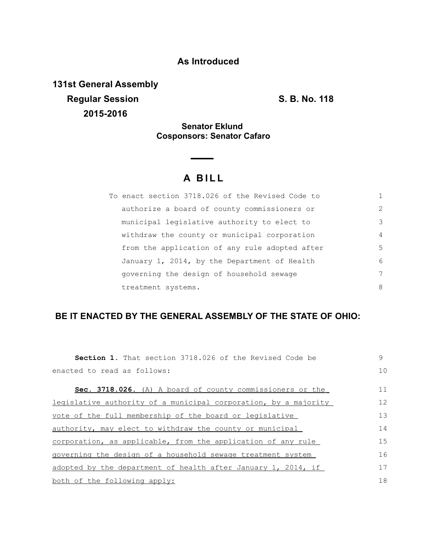## **As Introduced**

**131st General Assembly Regular Session S. B. No. 118 2015-2016**

## **Senator Eklund Cosponsors: Senator Cafaro**

## **A B I L L**

| To enact section 3718.026 of the Revised Code to |                |
|--------------------------------------------------|----------------|
| authorize a board of county commissioners or     | $\overline{2}$ |
| municipal legislative authority to elect to      | 3              |
| withdraw the county or municipal corporation     | $\overline{4}$ |
| from the application of any rule adopted after   | 5              |
| January 1, 2014, by the Department of Health     | 6              |
| governing the design of household sewage         | 7              |
| treatment systems.                               | 8              |

## **BE IT ENACTED BY THE GENERAL ASSEMBLY OF THE STATE OF OHIO:**

| <b>Section 1.</b> That section 3718,026 of the Revised Code be  | 9   |
|-----------------------------------------------------------------|-----|
| enacted to read as follows:                                     | 10  |
| Sec. 3718.026. (A) A board of county commissioners or the       | 11  |
| legislative authority of a municipal corporation, by a majority | 12  |
| vote of the full membership of the board or legislative         | 13  |
| authority, may elect to withdraw the county or municipal        | 14  |
| corporation, as applicable, from the application of any rule    | 1.5 |
| governing the design of a household sewage treatment system     | 16  |
| adopted by the department of health after January 1, 2014, if   | 17  |
| both of the following apply:                                    | 18  |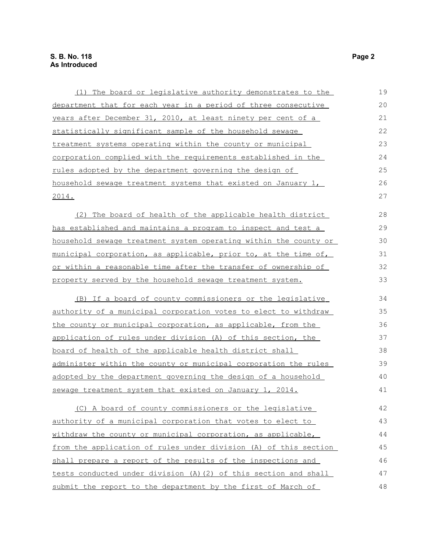| (1) The board or legislative authority demonstrates to the       | 19 |
|------------------------------------------------------------------|----|
| department that for each year in a period of three consecutive   | 20 |
| years after December 31, 2010, at least ninety per cent of a     | 21 |
| statistically significant sample of the household sewage         | 22 |
| treatment systems operating within the county or municipal       | 23 |
| corporation complied with the requirements established in the    | 24 |
| <u>rules adopted by the department governing the design of</u>   | 25 |
| household sewage treatment systems that existed on January 1,    | 26 |
| <u>2014.</u>                                                     | 27 |
| (2) The board of health of the applicable health district        | 28 |
| has established and maintains a program to inspect and test a    | 29 |
| household sewage treatment system operating within the county or | 30 |
| municipal corporation, as applicable, prior to, at the time of,  | 31 |
| or within a reasonable time after the transfer of ownership of   | 32 |
| property served by the household sewage treatment system.        | 33 |
| (B) If a board of county commissioners or the legislative        | 34 |
| authority of a municipal corporation votes to elect to withdraw  | 35 |
| the county or municipal corporation, as applicable, from the     | 36 |
| application of rules under division (A) of this section, the     | 37 |
| board of health of the applicable health district shall          | 38 |
| administer within the county or municipal corporation the rules  | 39 |
| adopted by the department governing the design of a household    | 40 |
| sewage treatment system that existed on January 1, 2014.         | 41 |
| (C) A board of county commissioners or the legislative           | 42 |
| authority of a municipal corporation that votes to elect to      | 43 |
| withdraw the county or municipal corporation, as applicable,     | 44 |
| from the application of rules under division (A) of this section | 45 |
| shall prepare a report of the results of the inspections and     | 46 |
| tests conducted under division (A)(2) of this section and shall  | 47 |
| submit the report to the department by the first of March of     | 48 |